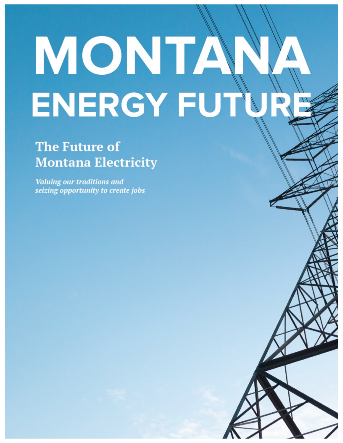# MONTA ENERGY FUT

# **The Future of Montana Electricity**

**Valuing our traditions and** seizing opportunity to create jobs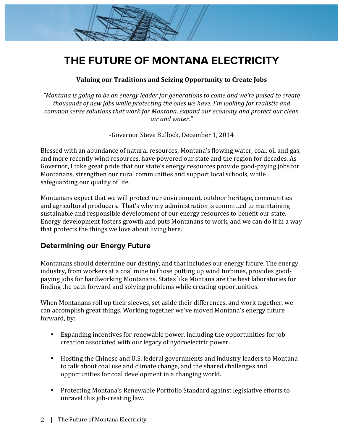# **THE FUTURE OF MONTANA ELECTRICITY**

#### Valuing our Traditions and Seizing Opportunity to Create Jobs

"Montana is going to be an energy leader for generations to come and we're poised to create thousands of new jobs while protecting the ones we have. I'm looking for realistic and *common sense solutions that work for Montana, expand our economy and protect our clean air and water."*

-Governor Steve Bullock, December 1, 2014

Blessed with an abundance of natural resources, Montana's flowing water, coal, oil and gas, and more recently wind resources, have powered our state and the region for decades. As Governor, I take great pride that our state's energy resources provide good-paying jobs for Montanans, strengthen our rural communities and support local schools, while safeguarding our quality of life.

Montanans expect that we will protect our environment, outdoor heritage, communities and agricultural producers. That's why my administration is committed to maintaining sustainable and responsible development of our energy resources to benefit our state. Energy development fosters growth and puts Montanans to work, and we can do it in a way that protects the things we love about living here.

# **Determining our Energy Future**

Montanans should determine our destiny, and that includes our energy future. The energy industry, from workers at a coal mine to those putting up wind turbines, provides goodpaying jobs for hardworking Montanans. States like Montana are the best laboratories for finding the path forward and solving problems while creating opportunities.

When Montanans roll up their sleeves, set aside their differences, and work together, we can accomplish great things. Working together we've moved Montana's energy future forward, by:

- Expanding incentives for renewable power, including the opportunities for job creation associated with our legacy of hydroelectric power.
- Hosting the Chinese and U.S. federal governments and industry leaders to Montana to talk about coal use and climate change, and the shared challenges and opportunities for coal development in a changing world.
- Protecting Montana's Renewable Portfolio Standard against legislative efforts to unravel this job-creating law.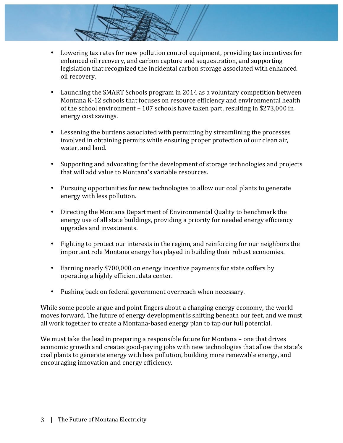- Lowering tax rates for new pollution control equipment, providing tax incentives for enhanced oil recovery, and carbon capture and sequestration, and supporting legislation that recognized the incidental carbon storage associated with enhanced oil recovery.
- Launching the SMART Schools program in 2014 as a voluntary competition between Montana K-12 schools that focuses on resource efficiency and environmental health of the school environment  $-107$  schools have taken part, resulting in \$273,000 in energy cost savings.
- Lessening the burdens associated with permitting by streamlining the processes involved in obtaining permits while ensuring proper protection of our clean air, water, and land.
- Supporting and advocating for the development of storage technologies and projects that will add value to Montana's variable resources.
- Pursuing opportunities for new technologies to allow our coal plants to generate energy with less pollution.
- Directing the Montana Department of Environmental Quality to benchmark the energy use of all state buildings, providing a priority for needed energy efficiency upgrades and investments.
- Fighting to protect our interests in the region, and reinforcing for our neighbors the important role Montana energy has played in building their robust economies.
- Earning nearly \$700,000 on energy incentive payments for state coffers by operating a highly efficient data center.
- Pushing back on federal government overreach when necessary.

While some people argue and point fingers about a changing energy economy, the world moves forward. The future of energy development is shifting beneath our feet, and we must all work together to create a Montana-based energy plan to tap our full potential.

We must take the lead in preparing a responsible future for Montana – one that drives economic growth and creates good-paying jobs with new technologies that allow the state's coal plants to generate energy with less pollution, building more renewable energy, and encouraging innovation and energy efficiency.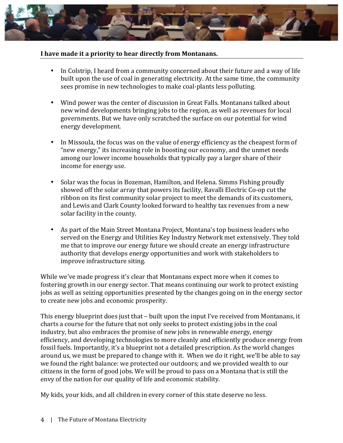

#### I have made it a priority to hear directly from Montanans.

- In Colstrip, I heard from a community concerned about their future and a way of life built upon the use of coal in generating electricity. At the same time, the community sees promise in new technologies to make coal-plants less polluting.
- Wind power was the center of discussion in Great Falls. Montanans talked about new wind developments bringing jobs to the region, as well as revenues for local governments. But we have only scratched the surface on our potential for wind energy development.
- In Missoula, the focus was on the value of energy efficiency as the cheapest form of "new energy," its increasing role in boosting our economy, and the unmet needs among our lower income households that typically pay a larger share of their income for energy use.
- Solar was the focus in Bozeman, Hamilton, and Helena. Simms Fishing proudly showed off the solar array that powers its facility, Ravalli Electric Co-op cut the ribbon on its first community solar project to meet the demands of its customers, and Lewis and Clark County looked forward to healthy tax revenues from a new solar facility in the county.
- As part of the Main Street Montana Project, Montana's top business leaders who served on the Energy and Utilities Key Industry Network met extensively. They told me that to improve our energy future we should create an energy infrastructure authority that develops energy opportunities and work with stakeholders to improve infrastructure siting.

While we've made progress it's clear that Montanans expect more when it comes to fostering growth in our energy sector. That means continuing our work to protect existing jobs as well as seizing opportunities presented by the changes going on in the energy sector to create new jobs and economic prosperity.

This energy blueprint does just that – built upon the input I've received from Montanans, it charts a course for the future that not only seeks to protect existing jobs in the coal industry, but also embraces the promise of new jobs in renewable energy, energy efficiency, and developing technologies to more cleanly and efficiently produce energy from fossil fuels. Importantly, it's a blueprint not a detailed prescription. As the world changes around us, we must be prepared to change with it. When we do it right, we'll be able to say we found the right balance: we protected our outdoors; and we provided wealth to our citizens in the form of good jobs. We will be proud to pass on a Montana that is still the envy of the nation for our quality of life and economic stability.

My kids, your kids, and all children in every corner of this state deserve no less.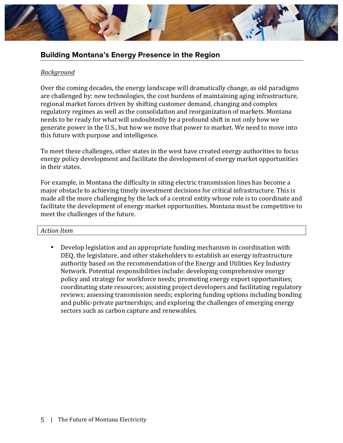

# **Building Montana's Energy Presence in the Region**

#### *Background*

Over the coming decades, the energy landscape will dramatically change, as old paradigms are challenged by: new technologies, the cost burdens of maintaining aging infrastructure, regional market forces driven by shifting customer demand, changing and complex regulatory regimes as well as the consolidation and reorganization of markets. Montana needs to be ready for what will undoubtedly be a profound shift in not only how we generate power in the U.S., but how we move that power to market. We need to move into this future with purpose and intelligence.

To meet these challenges, other states in the west have created energy authorities to focus energy policy development and facilitate the development of energy market opportunities in their states.

For example, in Montana the difficulty in siting electric transmission lines has become a major obstacle to achieving timely investment decisions for critical infrastructure. This is made all the more challenging by the lack of a central entity whose role is to coordinate and facilitate the development of energy market opportunities. Montana must be competitive to meet the challenges of the future.

#### *Action Item*

Develop legislation and an appropriate funding mechanism in coordination with DEQ, the legislature, and other stakeholders to establish an energy infrastructure authority based on the recommendation of the Energy and Utilities Key Industry Network. Potential responsibilities include: developing comprehensive energy policy and strategy for workforce needs; promoting energy export opportunities; coordinating state resources; assisting project developers and facilitating regulatory reviews; assessing transmission needs; exploring funding options including bonding and public-private partnerships; and exploring the challenges of emerging energy sectors such as carbon capture and renewables.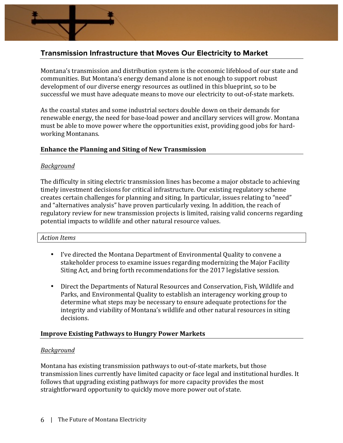

Montana's transmission and distribution system is the economic lifeblood of our state and communities. But Montana's energy demand alone is not enough to support robust development of our diverse energy resources as outlined in this blueprint, so to be successful we must have adequate means to move our electricity to out-of-state markets.

As the coastal states and some industrial sectors double down on their demands for renewable energy, the need for base-load power and ancillary services will grow. Montana must be able to move power where the opportunities exist, providing good jobs for hardworking Montanans.

#### **Enhance the Planning and Siting of New Transmission**

#### *Background*

The difficulty in siting electric transmission lines has become a major obstacle to achieving timely investment decisions for critical infrastructure. Our existing regulatory scheme creates certain challenges for planning and siting. In particular, issues relating to "need" and "alternatives analysis" have proven particularly vexing. In addition, the reach of regulatory review for new transmission projects is limited, raising valid concerns regarding potential impacts to wildlife and other natural resource values.

#### *Action Items*

- I've directed the Montana Department of Environmental Quality to convene a stakeholder process to examine issues regarding modernizing the Major Facility Siting Act, and bring forth recommendations for the 2017 legislative session.
- Direct the Departments of Natural Resources and Conservation, Fish, Wildlife and Parks, and Environmental Quality to establish an interagency working group to determine what steps may be necessary to ensure adequate protections for the integrity and viability of Montana's wildlife and other natural resources in siting decisions.

#### **Improve Existing Pathways to Hungry Power Markets**

#### *Background*

Montana has existing transmission pathways to out-of-state markets, but those transmission lines currently have limited capacity or face legal and institutional hurdles. It follows that upgrading existing pathways for more capacity provides the most straightforward opportunity to quickly move more power out of state.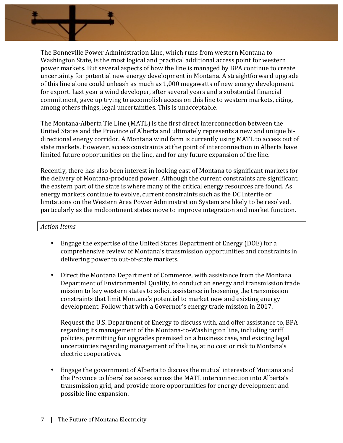

The Bonneville Power Administration Line, which runs from western Montana to Washington State, is the most logical and practical additional access point for western power markets. But several aspects of how the line is managed by BPA continue to create uncertainty for potential new energy development in Montana. A straightforward upgrade of this line alone could unleash as much as 1,000 megawatts of new energy development for export. Last year a wind developer, after several years and a substantial financial commitment, gave up trying to accomplish access on this line to western markets, citing, among others things, legal uncertainties. This is unacceptable.

The Montana-Alberta Tie Line (MATL) is the first direct interconnection between the United States and the Province of Alberta and ultimately represents a new and unique bidirectional energy corridor. A Montana wind farm is currently using MATL to access out of state markets. However, access constraints at the point of interconnection in Alberta have limited future opportunities on the line, and for any future expansion of the line.

Recently, there has also been interest in looking east of Montana to significant markets for the delivery of Montana-produced power. Although the current constraints are significant, the eastern part of the state is where many of the critical energy resources are found. As energy markets continue to evolve, current constraints such as the DC Intertie or limitations on the Western Area Power Administration System are likely to be resolved, particularly as the midcontinent states move to improve integration and market function.

#### *Action Items*

- Engage the expertise of the United States Department of Energy (DOE) for a comprehensive review of Montana's transmission opportunities and constraints in delivering power to out-of-state markets.
- Direct the Montana Department of Commerce, with assistance from the Montana Department of Environmental Quality, to conduct an energy and transmission trade mission to key western states to solicit assistance in loosening the transmission constraints that limit Montana's potential to market new and existing energy development. Follow that with a Governor's energy trade mission in 2017.

Request the U.S. Department of Energy to discuss with, and offer assistance to, BPA regarding its management of the Montana-to-Washington line, including tariff policies, permitting for upgrades premised on a business case, and existing legal uncertainties regarding management of the line, at no cost or risk to Montana's electric cooperatives.

• Engage the government of Alberta to discuss the mutual interests of Montana and the Province to liberalize access across the MATL interconnection into Alberta's transmission grid, and provide more opportunities for energy development and possible line expansion.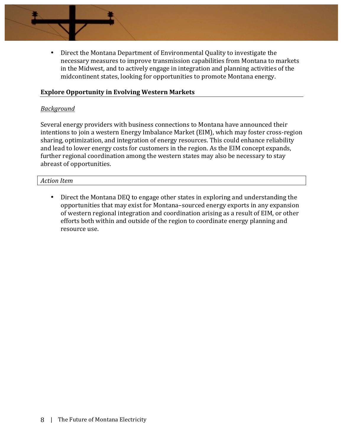

#### **Explore Opportunity in Evolving Western Markets**

#### *Background*

Several energy providers with business connections to Montana have announced their intentions to join a western Energy Imbalance Market (EIM), which may foster cross-region sharing, optimization, and integration of energy resources. This could enhance reliability and lead to lower energy costs for customers in the region. As the EIM concept expands, further regional coordination among the western states may also be necessary to stay abreast of opportunities.

#### *Action Item*

• Direct the Montana DEQ to engage other states in exploring and understanding the opportunities that may exist for Montana–sourced energy exports in any expansion of western regional integration and coordination arising as a result of EIM, or other efforts both within and outside of the region to coordinate energy planning and resource use.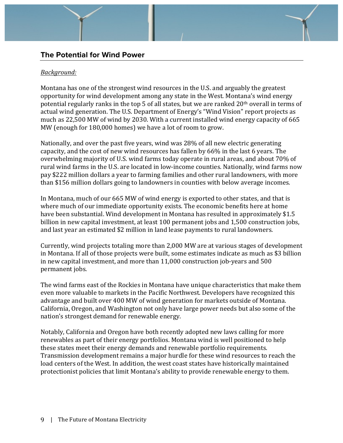# **The Potential for Wind Power**

#### *Background:*

Montana has one of the strongest wind resources in the U.S. and arguably the greatest opportunity for wind development among any state in the West. Montana's wind energy potential regularly ranks in the top 5 of all states, but we are ranked  $20<sup>th</sup>$  overall in terms of actual wind generation. The U.S. Department of Energy's "Wind Vision" report projects as much as 22,500 MW of wind by 2030. With a current installed wind energy capacity of 665 MW (enough for 180,000 homes) we have a lot of room to grow.

Nationally, and over the past five years, wind was  $28\%$  of all new electric generating capacity, and the cost of new wind resources has fallen by 66% in the last 6 years. The overwhelming majority of U.S. wind farms today operate in rural areas, and about 70% of rural wind farms in the U.S. are located in low-income counties. Nationally, wind farms now pay \$222 million dollars a year to farming families and other rural landowners, with more than \$156 million dollars going to landowners in counties with below average incomes.

In Montana, much of our 665 MW of wind energy is exported to other states, and that is where much of our immediate opportunity exists. The economic benefits here at home have been substantial. Wind development in Montana has resulted in approximately \$1.5 billion in new capital investment, at least 100 permanent jobs and 1,500 construction jobs, and last year an estimated \$2 million in land lease payments to rural landowners.

Currently, wind projects totaling more than 2,000 MW are at various stages of development in Montana. If all of those projects were built, some estimates indicate as much as \$3 billion in new capital investment, and more than  $11,000$  construction job-years and  $500$ permanent jobs.

The wind farms east of the Rockies in Montana have unique characteristics that make them even more valuable to markets in the Pacific Northwest. Developers have recognized this advantage and built over 400 MW of wind generation for markets outside of Montana. California, Oregon, and Washington not only have large power needs but also some of the nation's strongest demand for renewable energy.

Notably, California and Oregon have both recently adopted new laws calling for more renewables as part of their energy portfolios. Montana wind is well positioned to help these states meet their energy demands and renewable portfolio requirements. Transmission development remains a major hurdle for these wind resources to reach the load centers of the West. In addition, the west coast states have historically maintained protectionist policies that limit Montana's ability to provide renewable energy to them.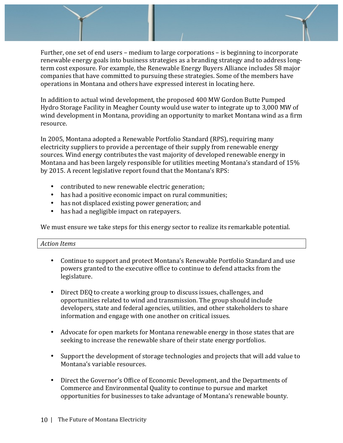Further, one set of end users – medium to large corporations – is beginning to incorporate renewable energy goals into business strategies as a branding strategy and to address longterm cost exposure. For example, the Renewable Energy Buyers Alliance includes 58 major companies that have committed to pursuing these strategies. Some of the members have operations in Montana and others have expressed interest in locating here.

In addition to actual wind development, the proposed 400 MW Gordon Butte Pumped Hydro Storage Facility in Meagher County would use water to integrate up to 3,000 MW of wind development in Montana, providing an opportunity to market Montana wind as a firm resource. 

In 2005, Montana adopted a Renewable Portfolio Standard (RPS), requiring many electricity suppliers to provide a percentage of their supply from renewable energy sources. Wind energy contributes the vast majority of developed renewable energy in Montana and has been largely responsible for utilities meeting Montana's standard of 15% by 2015. A recent legislative report found that the Montana's RPS:

- contributed to new renewable electric generation;
- has had a positive economic impact on rural communities;
- has not displaced existing power generation; and
- has had a negligible impact on ratepayers.

We must ensure we take steps for this energy sector to realize its remarkable potential.

- Continue to support and protect Montana's Renewable Portfolio Standard and use powers granted to the executive office to continue to defend attacks from the legislature.
- Direct DEQ to create a working group to discuss issues, challenges, and opportunities related to wind and transmission. The group should include developers, state and federal agencies, utilities, and other stakeholders to share information and engage with one another on critical issues.
- Advocate for open markets for Montana renewable energy in those states that are seeking to increase the renewable share of their state energy portfolios.
- Support the development of storage technologies and projects that will add value to Montana's variable resources.
- Direct the Governor's Office of Economic Development, and the Departments of Commerce and Environmental Quality to continue to pursue and market opportunities for businesses to take advantage of Montana's renewable bounty.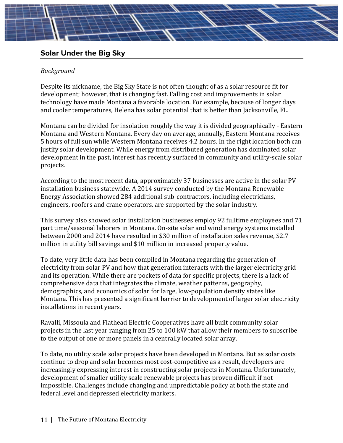# **Solar Under the Big Sky**

#### *Background*

Despite its nickname, the Big Sky State is not often thought of as a solar resource fit for development; however, that is changing fast. Falling cost and improvements in solar technology have made Montana a favorable location. For example, because of longer days and cooler temperatures, Helena has solar potential that is better than Jacksonville, FL.

Montana can be divided for insolation roughly the way it is divided geographically - Eastern Montana and Western Montana. Every day on average, annually, Eastern Montana receives 5 hours of full sun while Western Montana receives 4.2 hours. In the right location both can justify solar development. While energy from distributed generation has dominated solar development in the past, interest has recently surfaced in community and utility-scale solar projects.

According to the most recent data, approximately 37 businesses are active in the solar PV installation business statewide. A 2014 survey conducted by the Montana Renewable Energy Association showed 284 additional sub-contractors, including electricians, engineers, roofers and crane operators, are supported by the solar industry.

This survey also showed solar installation businesses employ 92 fulltime employees and 71 part time/seasonal laborers in Montana. On-site solar and wind energy systems installed between 2000 and 2014 have resulted in \$30 million of installation sales revenue, \$2.7 million in utility bill savings and \$10 million in increased property value.

To date, very little data has been compiled in Montana regarding the generation of electricity from solar PV and how that generation interacts with the larger electricity grid and its operation. While there are pockets of data for specific projects, there is a lack of comprehensive data that integrates the climate, weather patterns, geography, demographics, and economics of solar for large, low-population density states like Montana. This has presented a significant barrier to development of larger solar electricity installations in recent years.

Ravalli, Missoula and Flathead Electric Cooperatives have all built community solar projects in the last year ranging from 25 to 100 kW that allow their members to subscribe to the output of one or more panels in a centrally located solar array.

To date, no utility scale solar projects have been developed in Montana. But as solar costs continue to drop and solar becomes most cost-competitive as a result, developers are increasingly expressing interest in constructing solar projects in Montana. Unfortunately, development of smaller utility scale renewable projects has proven difficult if not impossible. Challenges include changing and unpredictable policy at both the state and federal level and depressed electricity markets.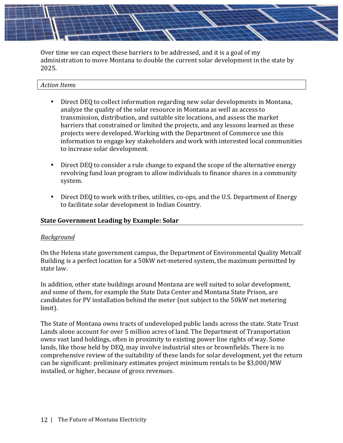

Over time we can expect these barriers to be addressed, and it is a goal of my administration to move Montana to double the current solar development in the state by 2025.

#### *Action Item*s

- Direct DEQ to collect information regarding new solar developments in Montana, analyze the quality of the solar resource in Montana as well as access to transmission, distribution, and suitable site locations, and assess the market barriers that constrained or limited the projects, and any lessons learned as these projects were developed. Working with the Department of Commerce use this information to engage key stakeholders and work with interested local communities to increase solar development.
- Direct DEQ to consider a rule change to expand the scope of the alternative energy revolving fund loan program to allow individuals to finance shares in a community system.
- Direct DEQ to work with tribes, utilities, co-ops, and the U.S. Department of Energy to facilitate solar development in Indian Country.

#### **State Government Leading by Example: Solar**

#### *Background*

On the Helena state government campus, the Department of Environmental Quality Metcalf Building is a perfect location for a 50kW net-metered system, the maximum permitted by state law.

In addition, other state buildings around Montana are well suited to solar development, and some of them, for example the State Data Center and Montana State Prison, are candidates for PV installation behind the meter (not subject to the 50kW net metering limit).

The State of Montana owns tracts of undeveloped public lands across the state. State Trust Lands alone account for over 5 million acres of land. The Department of Transportation owns vast land holdings, often in proximity to existing power line rights of way. Some lands, like those held by DEQ, may involve industrial sites or brownfields. There is no comprehensive review of the suitability of these lands for solar development, yet the return can be significant: preliminary estimates project minimum rentals to be \$3,000/MW installed, or higher, because of gross revenues.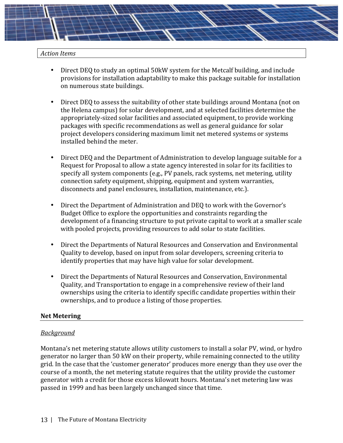#### *Action Items*

- Direct DEQ to study an optimal 50kW system for the Metcalf building, and include provisions for installation adaptability to make this package suitable for installation on numerous state buildings.
- Direct DEQ to assess the suitability of other state buildings around Montana (not on the Helena campus) for solar development, and at selected facilities determine the appropriately-sized solar facilities and associated equipment, to provide working packages with specific recommendations as well as general guidance for solar project developers considering maximum limit net metered systems or systems installed behind the meter.
- Direct DEQ and the Department of Administration to develop language suitable for a Request for Proposal to allow a state agency interested in solar for its facilities to specify all system components (e.g., PV panels, rack systems, net metering, utility connection safety equipment, shipping, equipment and system warranties, disconnects and panel enclosures, installation, maintenance, etc.).
- Direct the Department of Administration and DEQ to work with the Governor's Budget Office to explore the opportunities and constraints regarding the development of a financing structure to put private capital to work at a smaller scale with pooled projects, providing resources to add solar to state facilities.
- Direct the Departments of Natural Resources and Conservation and Environmental Quality to develop, based on input from solar developers, screening criteria to identify properties that may have high value for solar development.
- Direct the Departments of Natural Resources and Conservation, Environmental Quality, and Transportation to engage in a comprehensive review of their land ownerships using the criteria to identify specific candidate properties within their ownerships, and to produce a listing of those properties.

#### **Net Metering**

#### *Background*

Montana's net metering statute allows utility customers to install a solar PV, wind, or hydro generator no larger than 50 kW on their property, while remaining connected to the utility grid. In the case that the 'customer generator' produces more energy than they use over the course of a month, the net metering statute requires that the utility provide the customer generator with a credit for those excess kilowatt hours. Montana's net metering law was passed in 1999 and has been largely unchanged since that time.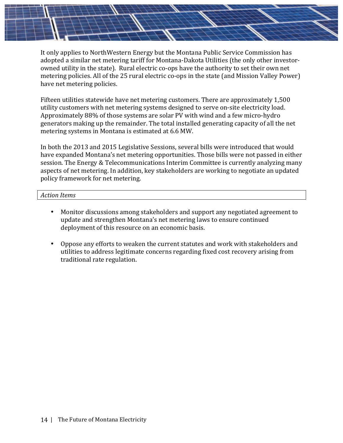It only applies to NorthWestern Energy but the Montana Public Service Commission has adopted a similar net metering tariff for Montana-Dakota Utilities (the only other investorowned utility in the state). Rural electric co-ops have the authority to set their own net metering policies. All of the 25 rural electric co-ops in the state (and Mission Valley Power) have net metering policies.

Fifteen utilities statewide have net metering customers. There are approximately 1,500 utility customers with net metering systems designed to serve on-site electricity load. Approximately 88% of those systems are solar PV with wind and a few micro-hydro generators making up the remainder. The total installed generating capacity of all the net metering systems in Montana is estimated at 6.6 MW.

In both the 2013 and 2015 Legislative Sessions, several bills were introduced that would have expanded Montana's net metering opportunities. Those bills were not passed in either session. The Energy & Telecommunications Interim Committee is currently analyzing many aspects of net metering. In addition, key stakeholders are working to negotiate an updated policy framework for net metering.

- Monitor discussions among stakeholders and support any negotiated agreement to update and strengthen Montana's net metering laws to ensure continued deployment of this resource on an economic basis.
- Oppose any efforts to weaken the current statutes and work with stakeholders and utilities to address legitimate concerns regarding fixed cost recovery arising from traditional rate regulation.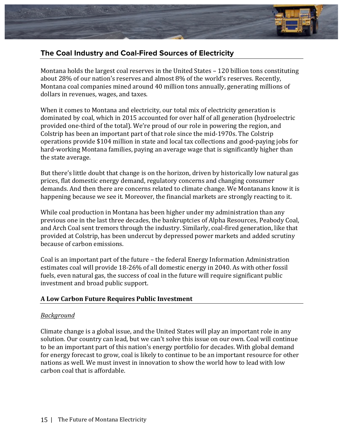

# **The Coal Industry and Coal-Fired Sources of Electricity**

Montana holds the largest coal reserves in the United States - 120 billion tons constituting about 28% of our nation's reserves and almost 8% of the world's reserves. Recently, Montana coal companies mined around  $40$  million tons annually, generating millions of dollars in revenues, wages, and taxes.

When it comes to Montana and electricity, our total mix of electricity generation is dominated by coal, which in 2015 accounted for over half of all generation (hydroelectric provided one-third of the total). We're proud of our role in powering the region, and Colstrip has been an important part of that role since the mid-1970s. The Colstrip operations provide \$104 million in state and local tax collections and good-paying jobs for hard-working Montana families, paying an average wage that is significantly higher than the state average.

But there's little doubt that change is on the horizon, driven by historically low natural gas prices, flat domestic energy demand, regulatory concerns and changing consumer demands. And then there are concerns related to climate change. We Montanans know it is happening because we see it. Moreover, the financial markets are strongly reacting to it.

While coal production in Montana has been higher under my administration than any previous one in the last three decades, the bankruptcies of Alpha Resources, Peabody Coal, and Arch Coal sent tremors through the industry. Similarly, coal-fired generation, like that provided at Colstrip, has been undercut by depressed power markets and added scrutiny because of carbon emissions.

Coal is an important part of the future - the federal Energy Information Administration estimates coal will provide 18-26% of all domestic energy in 2040. As with other fossil fuels, even natural gas, the success of coal in the future will require significant public investment and broad public support.

## **A Low Carbon Future Requires Public Investment**

#### *Background*

Climate change is a global issue, and the United States will play an important role in any solution. Our country can lead, but we can't solve this issue on our own. Coal will continue to be an important part of this nation's energy portfolio for decades. With global demand for energy forecast to grow, coal is likely to continue to be an important resource for other nations as well. We must invest in innovation to show the world how to lead with low carbon coal that is affordable.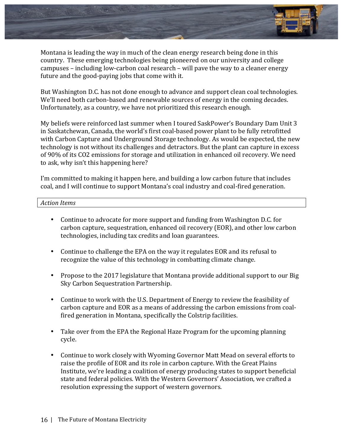

Montana is leading the way in much of the clean energy research being done in this country. These emerging technologies being pioneered on our university and college campuses – including low-carbon coal research – will pave the way to a cleaner energy future and the good-paying jobs that come with it.

But Washington D.C. has not done enough to advance and support clean coal technologies. We'll need both carbon-based and renewable sources of energy in the coming decades. Unfortunately, as a country, we have not prioritized this research enough.

My beliefs were reinforced last summer when I toured SaskPower's Boundary Dam Unit 3 in Saskatchewan, Canada, the world's first coal-based power plant to be fully retrofitted with Carbon Capture and Underground Storage technology. As would be expected, the new technology is not without its challenges and detractors. But the plant can capture in excess of 90% of its CO2 emissions for storage and utilization in enhanced oil recovery. We need to ask, why isn't this happening here?

I'm committed to making it happen here, and building a low carbon future that includes coal, and I will continue to support Montana's coal industry and coal-fired generation.

- Continue to advocate for more support and funding from Washington D.C. for carbon capture, sequestration, enhanced oil recovery (EOR), and other low carbon technologies, including tax credits and loan guarantees.
- Continue to challenge the EPA on the way it regulates EOR and its refusal to recognize the value of this technology in combatting climate change.
- Propose to the 2017 legislature that Montana provide additional support to our Big Sky Carbon Sequestration Partnership.
- Continue to work with the U.S. Department of Energy to review the feasibility of carbon capture and EOR as a means of addressing the carbon emissions from coalfired generation in Montana, specifically the Colstrip facilities.
- Take over from the EPA the Regional Haze Program for the upcoming planning cycle.
- Continue to work closely with Wyoming Governor Matt Mead on several efforts to raise the profile of EOR and its role in carbon capture. With the Great Plains Institute, we're leading a coalition of energy producing states to support beneficial state and federal policies. With the Western Governors' Association, we crafted a resolution expressing the support of western governors.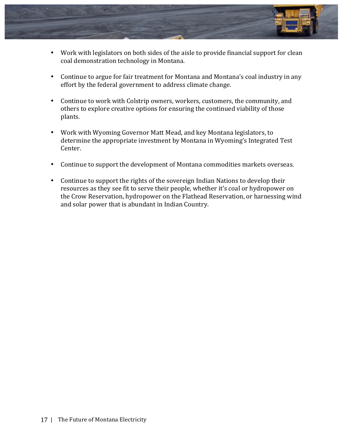

- Work with legislators on both sides of the aisle to provide financial support for clean coal demonstration technology in Montana.
- Continue to argue for fair treatment for Montana and Montana's coal industry in any effort by the federal government to address climate change.
- Continue to work with Colstrip owners, workers, customers, the community, and others to explore creative options for ensuring the continued viability of those plants.
- Work with Wyoming Governor Matt Mead, and key Montana legislators, to determine the appropriate investment by Montana in Wyoming's Integrated Test Center.
- Continue to support the development of Montana commodities markets overseas.
- Continue to support the rights of the sovereign Indian Nations to develop their resources as they see fit to serve their people, whether it's coal or hydropower on the Crow Reservation, hydropower on the Flathead Reservation, or harnessing wind and solar power that is abundant in Indian Country.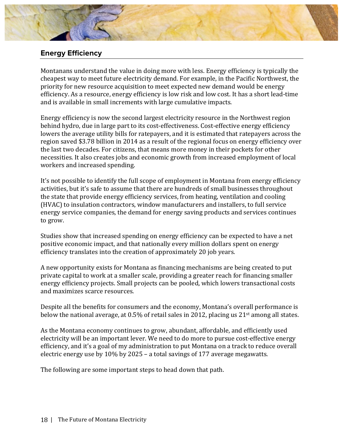

# **Energy Efficiency**

Montanans understand the value in doing more with less. Energy efficiency is typically the cheapest way to meet future electricity demand. For example, in the Pacific Northwest, the priority for new resource acquisition to meet expected new demand would be energy efficiency. As a resource, energy efficiency is low risk and low cost. It has a short lead-time and is available in small increments with large cumulative impacts.

Energy efficiency is now the second largest electricity resource in the Northwest region behind hydro, due in large part to its cost-effectiveness. Cost-effective energy efficiency lowers the average utility bills for ratepayers, and it is estimated that ratepayers across the region saved \$3.78 billion in 2014 as a result of the regional focus on energy efficiency over the last two decades. For citizens, that means more money in their pockets for other necessities. It also creates jobs and economic growth from increased employment of local workers and increased spending.

It's not possible to identify the full scope of employment in Montana from energy efficiency activities, but it's safe to assume that there are hundreds of small businesses throughout the state that provide energy efficiency services, from heating, ventilation and cooling (HVAC) to insulation contractors, window manufacturers and installers, to full service energy service companies, the demand for energy saving products and services continues to grow.

Studies show that increased spending on energy efficiency can be expected to have a net positive economic impact, and that nationally every million dollars spent on energy efficiency translates into the creation of approximately 20 job years.

A new opportunity exists for Montana as financing mechanisms are being created to put private capital to work at a smaller scale, providing a greater reach for financing smaller energy efficiency projects. Small projects can be pooled, which lowers transactional costs and maximizes scarce resources.

Despite all the benefits for consumers and the economy, Montana's overall performance is below the national average, at  $0.5\%$  of retail sales in 2012, placing us 21<sup>st</sup> among all states.

As the Montana economy continues to grow, abundant, affordable, and efficiently used electricity will be an important lever. We need to do more to pursue cost-effective energy efficiency, and it's a goal of my administration to put Montana on a track to reduce overall electric energy use by  $10\%$  by 2025 – a total savings of 177 average megawatts.

The following are some important steps to head down that path.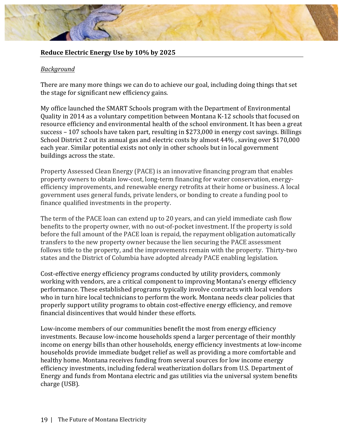#### **Reduce Electric Energy Use by 10% by 2025**

#### *Background*

There are many more things we can do to achieve our goal, including doing things that set the stage for significant new efficiency gains.

My office launched the SMART Schools program with the Department of Environmental Quality in 2014 as a voluntary competition between Montana K-12 schools that focused on resource efficiency and environmental health of the school environment. It has been a great success - 107 schools have taken part, resulting in \$273,000 in energy cost savings. Billings School District 2 cut its annual gas and electric costs by almost  $44\%$  , saving over \$170,000 each year. Similar potential exists not only in other schools but in local government buildings across the state.

Property Assessed Clean Energy (PACE) is an innovative financing program that enables property owners to obtain low-cost, long-term financing for water conservation, energyefficiency improvements, and renewable energy retrofits at their home or business. A local government uses general funds, private lenders, or bonding to create a funding pool to finance qualified investments in the property.

The term of the PACE loan can extend up to 20 years, and can yield immediate cash flow benefits to the property owner, with no out-of-pocket investment. If the property is sold before the full amount of the PACE loan is repaid, the repayment obligation automatically transfers to the new property owner because the lien securing the PACE assessment follows title to the property, and the improvements remain with the property. Thirty-two states and the District of Columbia have adopted already PACE enabling legislation.

Cost-effective energy efficiency programs conducted by utility providers, commonly working with vendors, are a critical component to improving Montana's energy efficiency performance. These established programs typically involve contracts with local vendors who in turn hire local technicians to perform the work. Montana needs clear policies that properly support utility programs to obtain cost-effective energy efficiency, and remove financial disincentives that would hinder these efforts.

Low-income members of our communities benefit the most from energy efficiency investments. Because low-income households spend a larger percentage of their monthly income on energy bills than other households, energy efficiency investments at low-income households provide immediate budget relief as well as providing a more comfortable and healthy home. Montana receives funding from several sources for low income energy efficiency investments, including federal weatherization dollars from U.S. Department of Energy and funds from Montana electric and gas utilities via the universal system benefits charge (USB).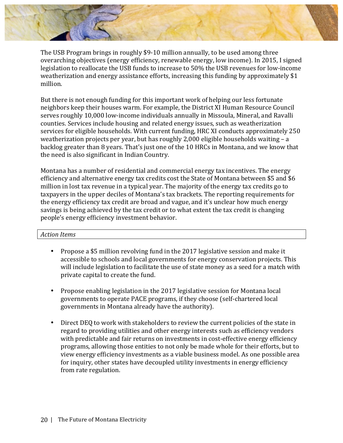The USB Program brings in roughly \$9-10 million annually, to be used among three overarching objectives (energy efficiency, renewable energy, low income). In 2015, I signed legislation to reallocate the USB funds to increase to 50% the USB revenues for low-income weatherization and energy assistance efforts, increasing this funding by approximately \$1 million. 

But there is not enough funding for this important work of helping our less fortunate neighbors keep their houses warm. For example, the District XI Human Resource Council serves roughly 10,000 low-income individuals annually in Missoula, Mineral, and Ravalli counties. Services include housing and related energy issues, such as weatherization services for eligible households. With current funding, HRC XI conducts approximately 250 weatherization projects per year, but has roughly  $2,000$  eligible households waiting  $- a$ backlog greater than 8 years. That's just one of the 10 HRCs in Montana, and we know that the need is also significant in Indian Country.

Montana has a number of residential and commercial energy tax incentives. The energy efficiency and alternative energy tax credits cost the State of Montana between \$5 and \$6 million in lost tax revenue in a typical year. The majority of the energy tax credits go to taxpayers in the upper deciles of Montana's tax brackets. The reporting requirements for the energy efficiency tax credit are broad and vague, and it's unclear how much energy savings is being achieved by the tax credit or to what extent the tax credit is changing people's energy efficiency investment behavior.

- Propose a \$5 million revolving fund in the 2017 legislative session and make it accessible to schools and local governments for energy conservation projects. This will include legislation to facilitate the use of state money as a seed for a match with private capital to create the fund.
- Propose enabling legislation in the 2017 legislative session for Montana local governments to operate PACE programs, if they choose (self-chartered local governments in Montana already have the authority).
- Direct DEQ to work with stakeholders to review the current policies of the state in regard to providing utilities and other energy interests such as efficiency vendors with predictable and fair returns on investments in cost-effective energy efficiency programs, allowing those entities to not only be made whole for their efforts, but to view energy efficiency investments as a viable business model. As one possible area for inquiry, other states have decoupled utility investments in energy efficiency from rate regulation.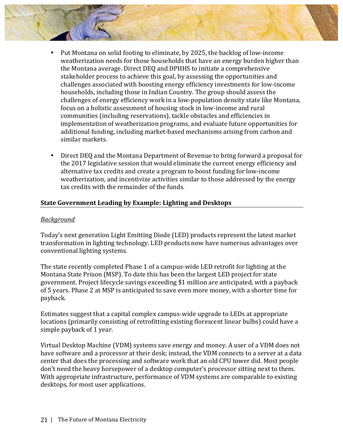- - Put Montana on solid footing to eliminate, by 2025, the backlog of low-income weatherization needs for those households that have an energy burden higher than the Montana average. Direct DEQ and DPHHS to initiate a comprehensive stakeholder process to achieve this goal, by assessing the opportunities and challenges associated with boosting energy efficiency investments for low-income households, including those in Indian Country. The group should assess the challenges of energy efficiency work in a low-population density state like Montana, focus on a holistic assessment of housing stock in low-income and rural communities (including reservations), tackle obstacles and efficiencies in implementation of weatherization programs, and evaluate future opportunities for additional funding, including market-based mechanisms arising from carbon and similar markets.
	- Direct DEQ and the Montana Department of Revenue to bring forward a proposal for the 2017 legislative session that would eliminate the current energy efficiency and alternative tax credits and create a program to boost funding for low-income weatherization, and incentivize activities similar to those addressed by the energy tax credits with the remainder of the funds.

## **State Government Leading by Example: Lighting and Desktops**

#### *Background*

Today's next generation Light Emitting Diode (LED) products represent the latest market transformation in lighting technology. LED products now have numerous advantages over conventional lighting systems.

The state recently completed Phase 1 of a campus-wide LED retrofit for lighting at the Montana State Prison (MSP). To date this has been the largest LED project for state government. Project lifecycle savings exceeding \$1 million are anticipated, with a payback of 5 years. Phase 2 at MSP is anticipated to save even more money, with a shorter time for payback. 

Estimates suggest that a capital complex campus-wide upgrade to LEDs at appropriate locations (primarily consisting of retrofitting existing florescent linear bulbs) could have a simple payback of 1 year.

Virtual Desktop Machine (VDM) systems save energy and money. A user of a VDM does not have software and a processor at their desk; instead, the VDM connects to a server at a data center that does the processing and software work that an old CPU tower did. Most people don't need the heavy horsepower of a desktop computer's processor sitting next to them. With appropriate infrastructure, performance of VDM systems are comparable to existing desktops, for most user applications.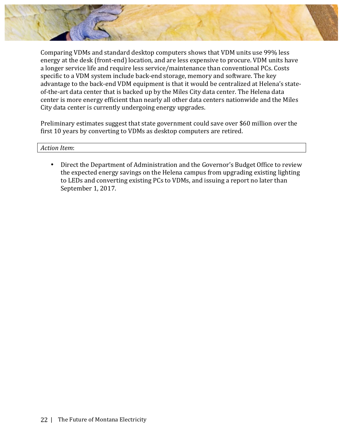

Comparing VDMs and standard desktop computers shows that VDM units use 99% less energy at the desk (front-end) location, and are less expensive to procure. VDM units have a longer service life and require less service/maintenance than conventional PCs. Costs specific to a VDM system include back-end storage, memory and software. The key advantage to the back-end VDM equipment is that it would be centralized at Helena's stateof-the-art data center that is backed up by the Miles City data center. The Helena data center is more energy efficient than nearly all other data centers nationwide and the Miles City data center is currently undergoing energy upgrades.

Preliminary estimates suggest that state government could save over \$60 million over the first 10 years by converting to VDMs as desktop computers are retired.

#### *Action Item*:

• Direct the Department of Administration and the Governor's Budget Office to review the expected energy savings on the Helena campus from upgrading existing lighting to LEDs and converting existing PCs to VDMs, and issuing a report no later than September 1, 2017.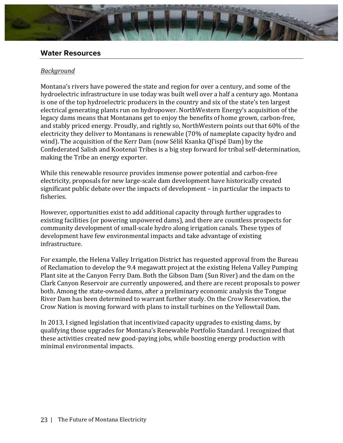

# **Water Resources**

#### *Background*

Montana's rivers have powered the state and region for over a century, and some of the hydroelectric infrastructure in use today was built well over a half a century ago. Montana is one of the top hydroelectric producers in the country and six of the state's ten largest electrical generating plants run on hydropower. NorthWestern Energy's acquisition of the legacy dams means that Montanans get to enjoy the benefits of home grown, carbon-free, and stably priced energy. Proudly, and rightly so, NorthWestern points out that 60% of the electricity they deliver to Montanans is renewable (70% of nameplate capacity hydro and wind). The acquisition of the Kerr Dam (now Séliš Ksanka Ql'ispé Dam) by the Confederated Salish and Kootenai Tribes is a big step forward for tribal self-determination, making the Tribe an energy exporter.

While this renewable resource provides immense power potential and carbon-free electricity, proposals for new large-scale dam development have historically created significant public debate over the impacts of development – in particular the impacts to fisheries. 

However, opportunities exist to add additional capacity through further upgrades to existing facilities (or powering unpowered dams), and there are countless prospects for community development of small-scale hydro along irrigation canals. These types of development have few environmental impacts and take advantage of existing infrastructure. 

For example, the Helena Valley Irrigation District has requested approval from the Bureau of Reclamation to develop the 9.4 megawatt project at the existing Helena Valley Pumping Plant site at the Canyon Ferry Dam. Both the Gibson Dam (Sun River) and the dam on the Clark Canyon Reservoir are currently unpowered, and there are recent proposals to power both. Among the state-owned dams, after a preliminary economic analysis the Tongue River Dam has been determined to warrant further study. On the Crow Reservation, the Crow Nation is moving forward with plans to install turbines on the Yellowtail Dam.

In 2013, I signed legislation that incentivized capacity upgrades to existing dams, by qualifying those upgrades for Montana's Renewable Portfolio Standard. I recognized that these activities created new good-paying jobs, while boosting energy production with minimal environmental impacts.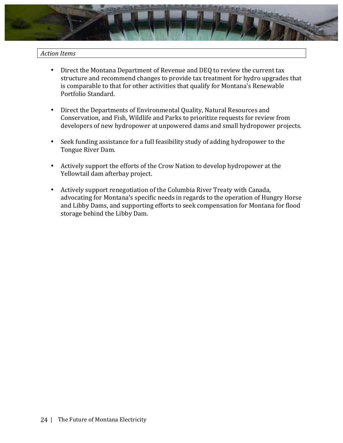

- Direct the Montana Department of Revenue and DEQ to review the current tax structure and recommend changes to provide tax treatment for hydro upgrades that is comparable to that for other activities that qualify for Montana's Renewable Portfolio Standard.
- Direct the Departments of Environmental Quality, Natural Resources and Conservation, and Fish, Wildlife and Parks to prioritize requests for review from developers of new hydropower at unpowered dams and small hydropower projects.
- Seek funding assistance for a full feasibility study of adding hydropower to the Tongue River Dam.
- Actively support the efforts of the Crow Nation to develop hydropower at the Yellowtail dam afterbay project.
- Actively support renegotiation of the Columbia River Treaty with Canada, advocating for Montana's specific needs in regards to the operation of Hungry Horse and Libby Dams, and supporting efforts to seek compensation for Montana for flood storage behind the Libby Dam.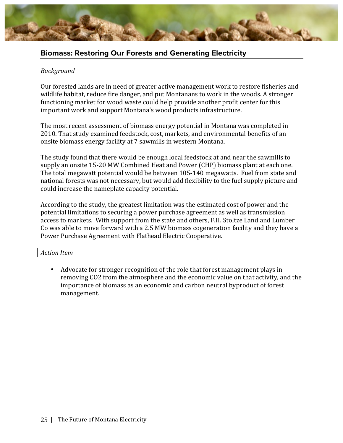

# **Biomass: Restoring Our Forests and Generating Electricity**

#### *Background*

Our forested lands are in need of greater active management work to restore fisheries and wildlife habitat, reduce fire danger, and put Montanans to work in the woods. A stronger functioning market for wood waste could help provide another profit center for this important work and support Montana's wood products infrastructure.

The most recent assessment of biomass energy potential in Montana was completed in 2010. That study examined feedstock, cost, markets, and environmental benefits of an onsite biomass energy facility at 7 sawmills in western Montana.

The study found that there would be enough local feedstock at and near the sawmills to supply an onsite 15-20 MW Combined Heat and Power (CHP) biomass plant at each one. The total megawatt potential would be between 105-140 megawatts. Fuel from state and national forests was not necessary, but would add flexibility to the fuel supply picture and could increase the nameplate capacity potential.

According to the study, the greatest limitation was the estimated cost of power and the potential limitations to securing a power purchase agreement as well as transmission access to markets. With support from the state and others, F.H. Stoltze Land and Lumber Co was able to move forward with a 2.5 MW biomass cogeneration facility and they have a Power Purchase Agreement with Flathead Electric Cooperative.

#### *Action Item*

Advocate for stronger recognition of the role that forest management plays in removing CO2 from the atmosphere and the economic value on that activity, and the importance of biomass as an economic and carbon neutral byproduct of forest management.